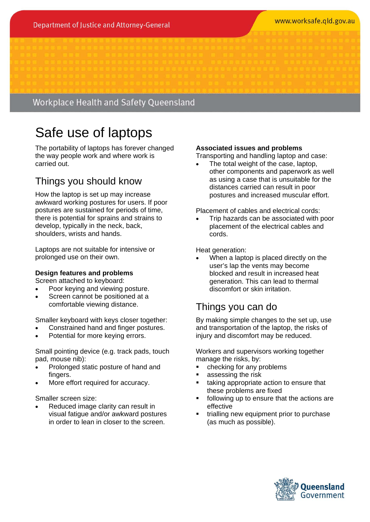#### www.worksafe.gld.gov.au

### Workplace Health and Safety Queensland

# Safe use of laptops

The portability of laptops has forever changed the way people work and where work is carried out.

# Things you should know

How the laptop is set up may increase awkward working postures for users. If poor postures are sustained for periods of time, there is potential for sprains and strains to develop, typically in the neck, back, shoulders, wrists and hands.

Laptops are not suitable for intensive or prolonged use on their own.

#### **Design features and problems**

Screen attached to keyboard:

- Poor keying and viewing posture.
- Screen cannot be positioned at a comfortable viewing distance.

Smaller keyboard with keys closer together:

- Constrained hand and finger postures.
- Potential for more keying errors.

Small pointing device (e.g. track pads, touch pad, mouse nib):

- Prolonged static posture of hand and fingers.
- More effort required for accuracy.

Smaller screen size:

 Reduced image clarity can result in visual fatigue and/or awkward postures in order to lean in closer to the screen.

#### **Associated issues and problems**

Transporting and handling laptop and case:

 The total weight of the case, laptop, other components and paperwork as well as using a case that is unsuitable for the distances carried can result in poor postures and increased muscular effort.

Placement of cables and electrical cords:

 Trip hazards can be associated with poor placement of the electrical cables and cords.

Heat generation:

 When a laptop is placed directly on the user's lap the vents may become blocked and result in increased heat generation. This can lead to thermal discomfort or skin irritation.

### Things you can do

By making simple changes to the set up, use and transportation of the laptop, the risks of injury and discomfort may be reduced.

Workers and supervisors working together manage the risks, by:

- checking for any problems
- assessing the risk
- **taking appropriate action to ensure that** these problems are fixed
- following up to ensure that the actions are effective
- trialling new equipment prior to purchase (as much as possible).

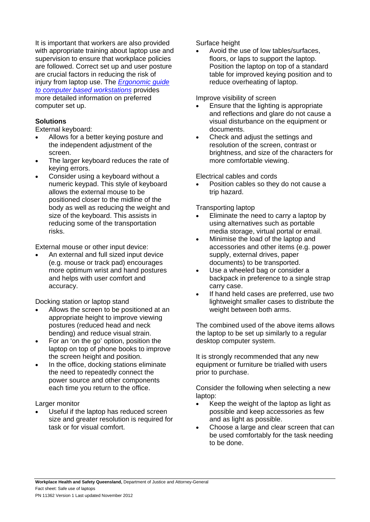It is important that workers are also provided with appropriate training about laptop use and supervision to ensure that workplace policies are followed. Correct set up and user posture are crucial factors in reducing the risk of injury from laptop use. The *Ergonomic guide to computer based workstations* provides more detailed information on preferred computer set up.

#### **Solutions**

External keyboard:

- Allows for a better keying posture and the independent adjustment of the screen.
- The larger keyboard reduces the rate of keying errors.
- Consider using a keyboard without a numeric keypad. This style of keyboard allows the external mouse to be positioned closer to the midline of the body as well as reducing the weight and size of the keyboard. This assists in reducing some of the transportation risks.

External mouse or other input device:

 An external and full sized input device (e.g. mouse or track pad) encourages more optimum wrist and hand postures and helps with user comfort and accuracy.

Docking station or laptop stand

- Allows the screen to be positioned at an appropriate height to improve viewing postures (reduced head and neck bending) and reduce visual strain.
- For an 'on the go' option, position the laptop on top of phone books to improve the screen height and position.
- In the office, docking stations eliminate the need to repeatedly connect the power source and other components each time you return to the office.

Larger monitor

 Useful if the laptop has reduced screen size and greater resolution is required for task or for visual comfort.

Surface height

 Avoid the use of low tables/surfaces, floors, or laps to support the laptop. Position the laptop on top of a standard table for improved keying position and to reduce overheating of laptop.

Improve visibility of screen

- Ensure that the lighting is appropriate and reflections and glare do not cause a visual disturbance on the equipment or documents.
- Check and adjust the settings and resolution of the screen, contrast or brightness, and size of the characters for more comfortable viewing.

Electrical cables and cords

 Position cables so they do not cause a trip hazard.

Transporting laptop

- Eliminate the need to carry a laptop by using alternatives such as portable media storage, virtual portal or email.
- Minimise the load of the laptop and accessories and other items (e.g. power supply, external drives, paper documents) to be transported.
- Use a wheeled bag or consider a backpack in preference to a single strap carry case.
- If hand held cases are preferred, use two lightweight smaller cases to distribute the weight between both arms.

The combined used of the above items allows the laptop to be set up similarly to a regular desktop computer system.

It is strongly recommended that any new equipment or furniture be trialled with users prior to purchase.

Consider the following when selecting a new laptop:

- Keep the weight of the laptop as light as possible and keep accessories as few and as light as possible.
- Choose a large and clear screen that can be used comfortably for the task needing to be done.